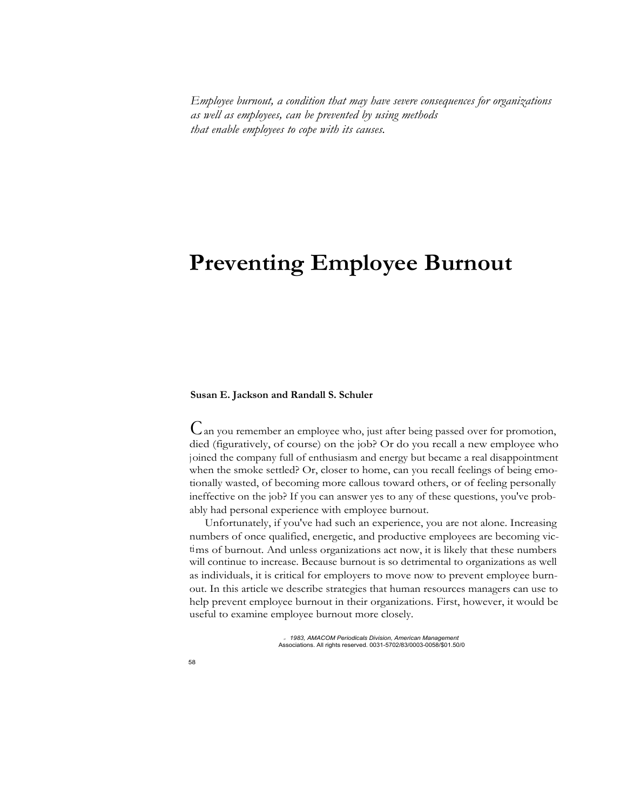*Employee burnout, a condition that may have severe consequences for organizations as well as employees, can be prevented by using methods that enable employees to cope with its causes.*

# **Preventing Employee Burnout**

## **Susan E. Jackson and Randall S. Schuler**

Can you remember an employee who, just after being passed over for promotion, died (figuratively, of course) on the job? Or do you recall a new employee who joined the company full of enthusiasm and energy but became a real disappointment when the smoke settled? Or, closer to home, can you recall feelings of being emotionally wasted, of becoming more callous toward others, or of feeling personally ineffective on the job? If you can answer yes to any of these questions, you've probably had personal experience with employee burnout.

Unfortunately, if you've had such an experience, you are not alone. Increasing numbers of once qualified, energetic, and productive employees are becoming victims of burnout. And unless organizations act now, it is likely that these numbers will continue to increase. Because burnout is so detrimental to organizations as well as individuals, it is critical for employers to move now to prevent employee burnout. In this article we describe strategies that human resources managers can use to help prevent employee burnout in their organizations. First, however, it would be useful to examine employee burnout more closely.

> *OF 1983, AMACOM Periodicals Division, American Management* Associations. All rights reserved. 0031-5702/83/0003-0058/\$01.50/0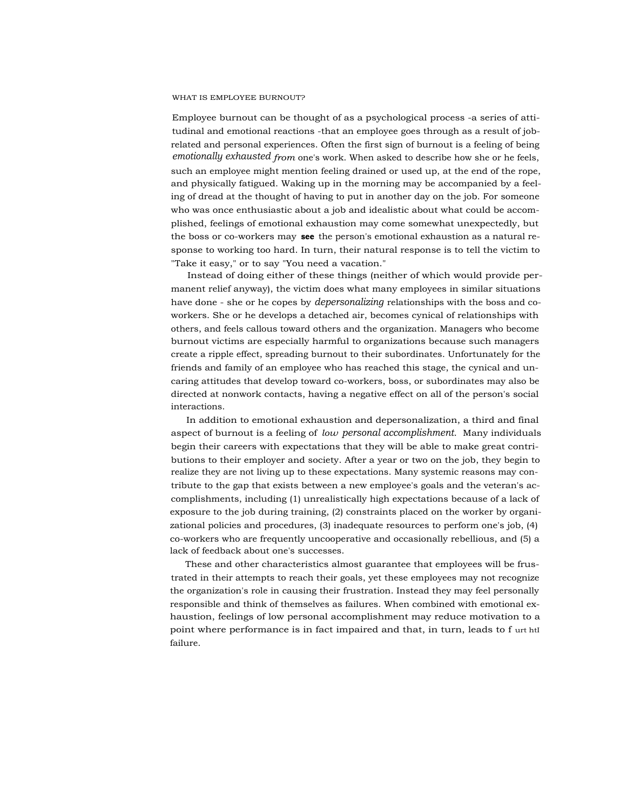#### WHAT IS EMPLOYEE BURNOUT?

Employee burnout can be thought of as a psychological process -a series of attitudinal and emotional reactions -that an employee goes through as a result of jobrelated and personal experiences. Often the first sign of burnout is a feeling of being *emotionally exhausted from* one's work. When asked to describe how she or he feels, such an employee might mention feeling drained or used up, at the end of the rope, and physically fatigued. Waking up in the morning may be accompanied by a feeling of dread at the thought of having to put in another day on the job. For someone who was once enthusiastic about a job and idealistic about what could be accomplished, feelings of emotional exhaustion may come somewhat unexpectedly, but the boss or co-workers may **see** the person's emotional exhaustion as a natural response to working too hard. In turn, their natural response is to tell the victim to "Take it easy," or to say "You need a vacation."

Instead of doing either of these things (neither of which would provide permanent relief anyway), the victim does what many employees in similar situations have done - she or he copes by *depersonalizing* relationships with the boss and coworkers. She or he develops a detached air, becomes cynical of relationships with others, and feels callous toward others and the organization. Managers who become burnout victims are especially harmful to organizations because such managers create a ripple effect, spreading burnout to their subordinates. Unfortunately for the friends and family of an employee who has reached this stage, the cynical and uncaring attitudes that develop toward co-workers, boss, or subordinates may also be directed at nonwork contacts, having a negative effect on all of the person's social interactions.

In addition to emotional exhaustion and depersonalization, a third and final aspect of burnout is a feeling of *low personal accomplishment.* Many individuals begin their careers with expectations that they will be able to make great contributions to their employer and society. After a year or two on the job, they begin to realize they are not living up to these expectations. Many systemic reasons may contribute to the gap that exists between a new employee's goals and the veteran's accomplishments, including (1) unrealistically high expectations because of a lack of exposure to the job during training, (2) constraints placed on the worker by organizational policies and procedures, (3) inadequate resources to perform one's job, (4) co-workers who are frequently uncooperative and occasionally rebellious, and (5) a lack of feedback about one's successes.

These and other characteristics almost guarantee that employees will be frustrated in their attempts to reach their goals, yet these employees may not recognize the organization's role in causing their frustration. Instead they may feel personally responsible and think of themselves as failures. When combined with emotional exhaustion, feelings of low personal accomplishment may reduce motivation to a point where performance is in fact impaired and that, in turn, leads to f urt htI failure.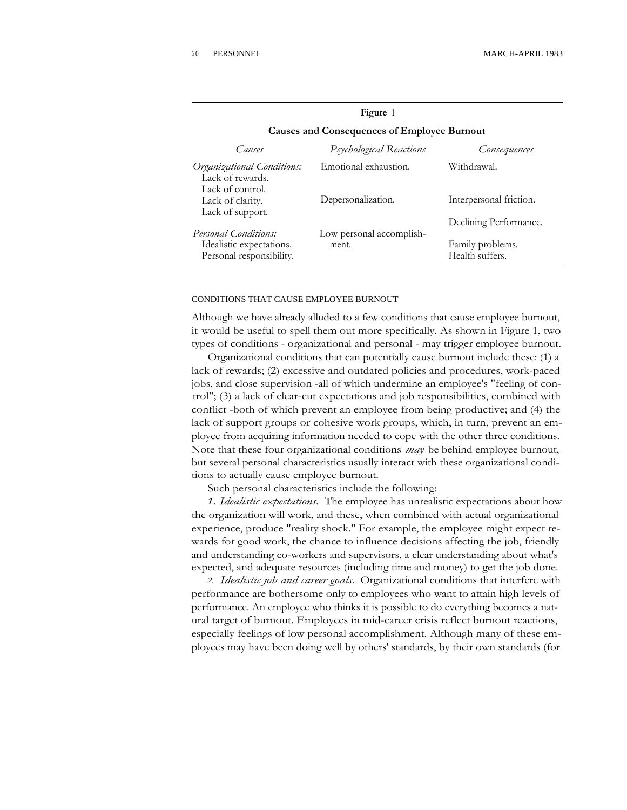| Causes                                                                              | Psychological Reactions           | Consequences                                                  |
|-------------------------------------------------------------------------------------|-----------------------------------|---------------------------------------------------------------|
| Organizational Conditions:<br>Lack of rewards.<br>Lack of control.                  | Emotional exhaustion.             | Withdrawal.                                                   |
| Lack of clarity.<br>Lack of support.                                                | Depersonalization.                | Interpersonal friction.                                       |
| <b>Personal Conditions:</b><br>Idealistic expectations.<br>Personal responsibility. | Low personal accomplish-<br>ment. | Declining Performance.<br>Family problems.<br>Health suffers. |

# **Figure** 1 **Causes and Consequences of Employee Burnout**

#### CONDITIONS THAT CAUSE EMPLOYEE BURNOUT

Although we have already alluded to a few conditions that cause employee burnout, it would be useful to spell them out more specifically. As shown in Figure 1, two types of conditions - organizational and personal - may trigger employee burnout.

Organizational conditions that can potentially cause burnout include these: (1) a lack of rewards; (2) excessive and outdated policies and procedures, work-paced jobs, and close supervision -all of which undermine an employee's "feeling of control"; (3) a lack of clear-cut expectations and job responsibilities, combined with conflict -both of which prevent an employee from being productive; and (4) the lack of support groups or cohesive work groups, which, in turn, prevent an employee from acquiring information needed to cope with the other three conditions. Note that these four organizational conditions *may* be behind employee burnout, but several personal characteristics usually interact with these organizational conditions to actually cause employee burnout.

Such personal characteristics include the following:

*1. Idealistic expectations.* The employee has unrealistic expectations about how the organization will work, and these, when combined with actual organizational experience, produce "reality shock." For example, the employee might expect rewards for good work, the chance to influence decisions affecting the job, friendly and understanding co-workers and supervisors, a clear understanding about what's expected, and adequate resources (including time and money) to get the job done.

*2. Idealistic job and career goals.* Organizational conditions that interfere with performance are bothersome only to employees who want to attain high levels of performance. An employee who thinks it is possible to do everything becomes a natural target of burnout. Employees in mid-career crisis reflect burnout reactions, especially feelings of low personal accomplishment. Although many of these employees may have been doing well by others' standards, by their own standards (for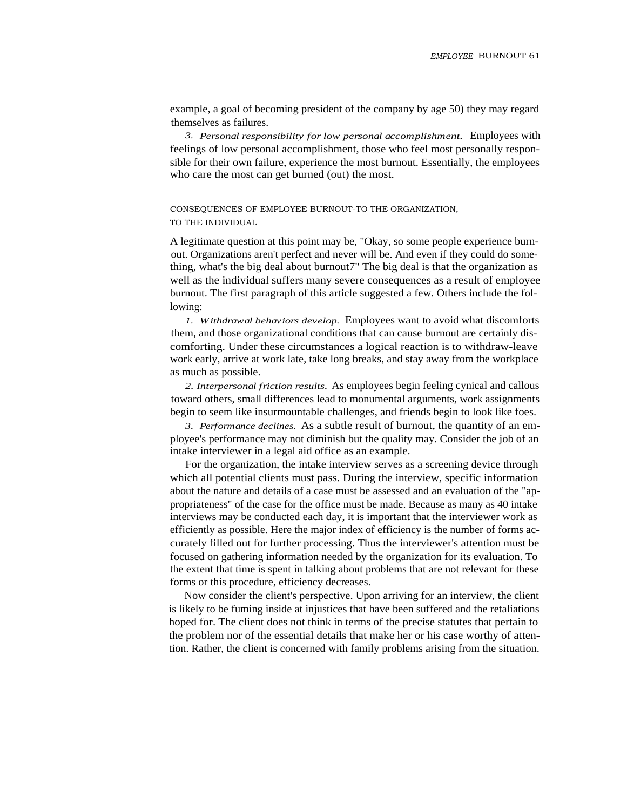example, a goal of becoming president of the company by age 50) they may regard themselves as failures.

*3. Personal responsibility for low personal accomplishment.* Employees with feelings of low personal accomplishment, those who feel most personally responsible for their own failure, experience the most burnout. Essentially, the employees who care the most can get burned (out) the most.

CONSEQUENCES OF EMPLOYEE BURNOUT-TO THE ORGANIZATION, TO THE INDIVIDUAL

A legitimate question at this point may be, "Okay, so some people experience burnout. Organizations aren't perfect and never will be. And even if they could do something, what's the big deal about burnout7" The big deal is that the organization as well as the individual suffers many severe consequences as a result of employee burnout. The first paragraph of this article suggested a few. Others include the following:

*1. Withdrawal behaviors develop.* Employees want to avoid what discomforts them, and those organizational conditions that can cause burnout are certainly discomforting. Under these circumstances a logical reaction is to withdraw-leave work early, arrive at work late, take long breaks, and stay away from the workplace as much as possible.

*2. Interpersonal friction results.* As employees begin feeling cynical and callous toward others, small differences lead to monumental arguments, work assignments begin to seem like insurmountable challenges, and friends begin to look like foes.

*3. Performance declines.* As a subtle result of burnout, the quantity of an employee's performance may not diminish but the quality may. Consider the job of an intake interviewer in a legal aid office as an example.

For the organization, the intake interview serves as a screening device through which all potential clients must pass. During the interview, specific information about the nature and details of a case must be assessed and an evaluation of the "appropriateness" of the case for the office must be made. Because as many as 40 intake interviews may be conducted each day, it is important that the interviewer work as efficiently as possible. Here the major index of efficiency is the number of forms accurately filled out for further processing. Thus the interviewer's attention must be focused on gathering information needed by the organization for its evaluation. To the extent that time is spent in talking about problems that are not relevant for these forms or this procedure, efficiency decreases.

Now consider the client's perspective. Upon arriving for an interview, the client is likely to be fuming inside at injustices that have been suffered and the retaliations hoped for. The client does not think in terms of the precise statutes that pertain to the problem nor of the essential details that make her or his case worthy of attention. Rather, the client is concerned with family problems arising from the situation.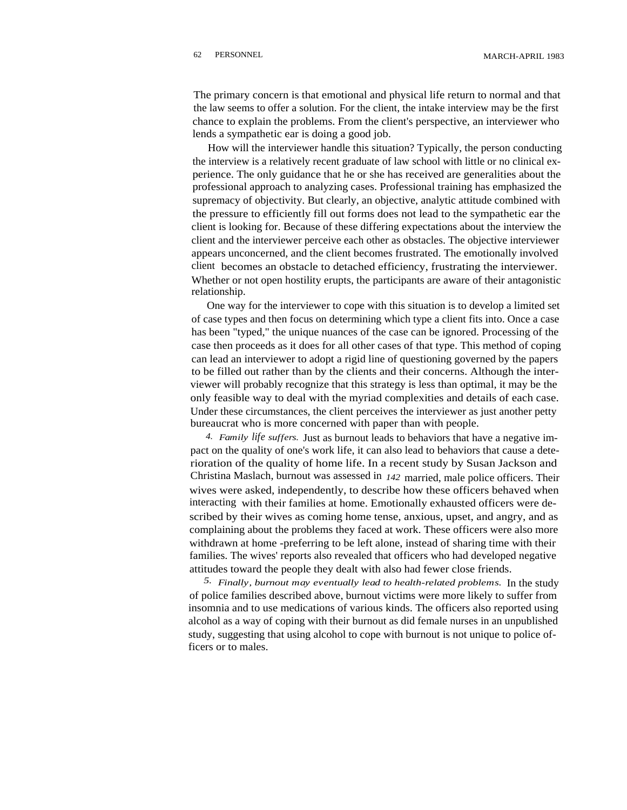The primary concern is that emotional and physical life return to normal and that the law seems to offer a solution. For the client, the intake interview may be the first chance to explain the problems. From the client's perspective, an interviewer who lends a sympathetic ear is doing a good job.

How will the interviewer handle this situation? Typically, the person conducting the interview is a relatively recent graduate of law school with little or no clinical experience. The only guidance that he or she has received are generalities about the professional approach to analyzing cases. Professional training has emphasized the supremacy of objectivity. But clearly, an objective, analytic attitude combined with the pressure to efficiently fill out forms does not lead to the sympathetic ear the client is looking for. Because of these differing expectations about the interview the client and the interviewer perceive each other as obstacles. The objective interviewer appears unconcerned, and the client becomes frustrated. The emotionally involved client becomes an obstacle to detached efficiency, frustrating the interviewer. Whether or not open hostility erupts, the participants are aware of their antagonistic relationship.

One way for the interviewer to cope with this situation is to develop a limited set of case types and then focus on determining which type a client fits into. Once a case has been "typed," the unique nuances of the case can be ignored. Processing of the case then proceeds as it does for all other cases of that type. This method of coping can lead an interviewer to adopt a rigid line of questioning governed by the papers to be filled out rather than by the clients and their concerns. Although the interviewer will probably recognize that this strategy is less than optimal, it may be the only feasible way to deal with the myriad complexities and details of each case. Under these circumstances, the client perceives the interviewer as just another petty bureaucrat who is more concerned with paper than with people.

*4. Family life suffers.* Just as burnout leads to behaviors that have a negative impact on the quality of one's work life, it can also lead to behaviors that cause a deterioration of the quality of home life. In a recent study by Susan Jackson and Christina Maslach, burnout was assessed in *142* married, male police officers. Their wives were asked, independently, to describe how these officers behaved when interacting with their families at home. Emotionally exhausted officers were described by their wives as coming home tense, anxious, upset, and angry, and as complaining about the problems they faced at work. These officers were also more withdrawn at home -preferring to be left alone, instead of sharing time with their families. The wives' reports also revealed that officers who had developed negative attitudes toward the people they dealt with also had fewer close friends.

*5. Finally, burnout may eventually lead to health-related problems.* In the study of police families described above, burnout victims were more likely to suffer from insomnia and to use medications of various kinds. The officers also reported using alcohol as a way of coping with their burnout as did female nurses in an unpublished study, suggesting that using alcohol to cope with burnout is not unique to police officers or to males.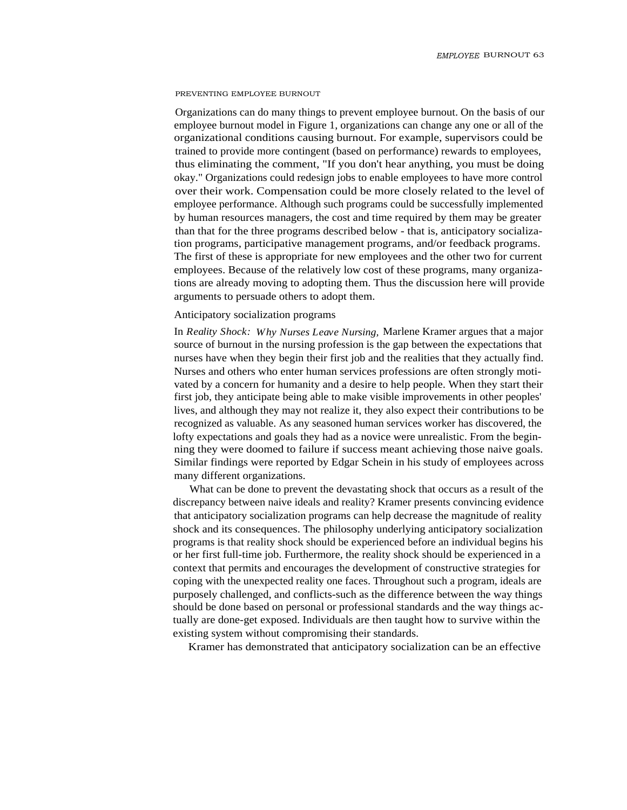#### PREVENTING EMPLOYEE BURNOUT

Organizations can do many things to prevent employee burnout. On the basis of our employee burnout model in Figure 1, organizations can change any one or all of the organizational conditions causing burnout. For example, supervisors could be trained to provide more contingent (based on performance) rewards to employees, thus eliminating the comment, "If you don't hear anything, you must be doing okay." Organizations could redesign jobs to enable employees to have more control over their work. Compensation could be more closely related to the level of employee performance. Although such programs could be successfully implemented by human resources managers, the cost and time required by them may be greater than that for the three programs described below - that is, anticipatory socialization programs, participative management programs, and/or feedback programs. The first of these is appropriate for new employees and the other two for current employees. Because of the relatively low cost of these programs, many organizations are already moving to adopting them. Thus the discussion here will provide arguments to persuade others to adopt them.

## Anticipatory socialization programs

In *Reality Shock: Why Nurses Leave Nursing,* Marlene Kramer argues that a major source of burnout in the nursing profession is the gap between the expectations that nurses have when they begin their first job and the realities that they actually find. Nurses and others who enter human services professions are often strongly motivated by a concern for humanity and a desire to help people. When they start their first job, they anticipate being able to make visible improvements in other peoples' lives, and although they may not realize it, they also expect their contributions to be recognized as valuable. As any seasoned human services worker has discovered, the lofty expectations and goals they had as a novice were unrealistic. From the beginning they were doomed to failure if success meant achieving those naive goals. Similar findings were reported by Edgar Schein in his study of employees across many different organizations.

What can be done to prevent the devastating shock that occurs as a result of the discrepancy between naive ideals and reality? Kramer presents convincing evidence that anticipatory socialization programs can help decrease the magnitude of reality shock and its consequences. The philosophy underlying anticipatory socialization programs is that reality shock should be experienced before an individual begins his or her first full-time job. Furthermore, the reality shock should be experienced in a context that permits and encourages the development of constructive strategies for coping with the unexpected reality one faces. Throughout such a program, ideals are purposely challenged, and conflicts-such as the difference between the way things should be done based on personal or professional standards and the way things actually are done-get exposed. Individuals are then taught how to survive within the existing system without compromising their standards.

Kramer has demonstrated that anticipatory socialization can be an effective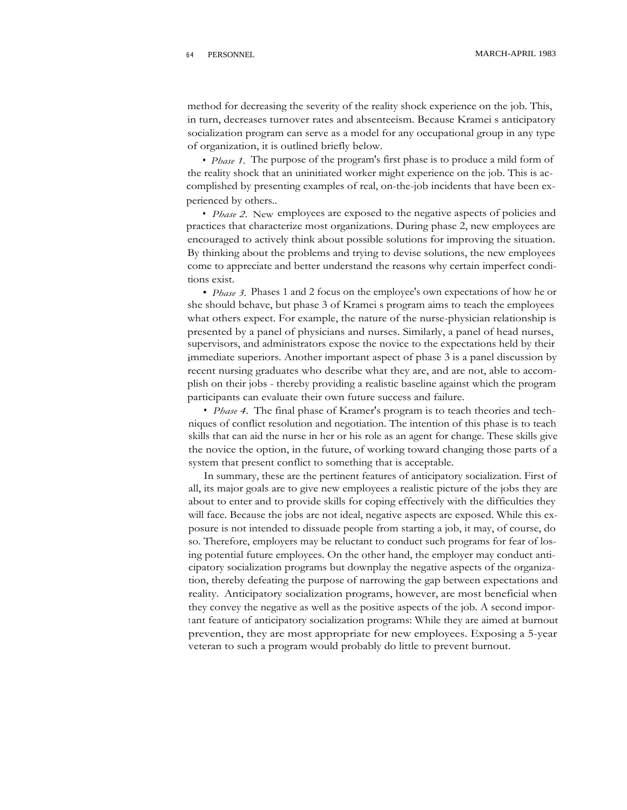method for decreasing the severity of the reality shock experience on the job. This, in turn, decreases turnover rates and absenteeism. Because Kramei s anticipatory socialization program can serve as a model for any occupational group in any type of organization, it is outlined briefly below.

*• Phase 1.* The purpose of the program's first phase is to produce a mild form of the reality shock that an uninitiated worker might experience on the job. This is accomplished by presenting examples of real, on-the-job incidents that have been experienced by others..

*• Phase 2.* New employees are exposed to the negative aspects of policies and practices that characterize most organizations. During phase 2, new employees are encouraged to actively think about possible solutions for improving the situation. By thinking about the problems and trying to devise solutions, the new employees come to appreciate and better understand the reasons why certain imperfect conditions exist.

*• Phase 3.* Phases 1 and 2 focus on the employee's own expectations of how he or she should behave, but phase 3 of Kramei s program aims to teach the employees what others expect. For example, the nature of the nurse-physician relationship is presented by a panel of physicians and nurses. Similarly, a panel of head nurses, supervisors, and administrators expose the novice to the expectations held by their immediate superiors. Another important aspect of phase 3 is a panel discussion by recent nursing graduates who describe what they are, and are not, able to accomplish on their jobs - thereby providing a realistic baseline against which the program participants can evaluate their own future success and failure.

*• Phase 4.* The final phase of Kramer's program is to teach theories and techniques of conflict resolution and negotiation. The intention of this phase is to teach skills that can aid the nurse in her or his role as an agent for change. These skills give the novice the option, in the future, of working toward changing those parts of a system that present conflict to something that is acceptable.

In summary, these are the pertinent features of anticipatory socialization. First of all, its major goals are to give new employees a realistic picture of the jobs they are about to enter and to provide skills for coping effectively with the difficulties they will face. Because the jobs are not ideal, negative aspects are exposed. While this exposure is not intended to dissuade people from starting a job, it may, of course, do so. Therefore, employers may be reluctant to conduct such programs for fear of losing potential future employees. On the other hand, the employer may conduct anticipatory socialization programs but downplay the negative aspects of the organization, thereby defeating the purpose of narrowing the gap between expectations and reality. Anticipatory socialization programs, however, are most beneficial when they convey the negative as well as the positive aspects of the job. A second important feature of anticipatory socialization programs: While they are aimed at burnout prevention, they are most appropriate for new employees. Exposing a 5-year veteran to such a program would probably do little to prevent burnout.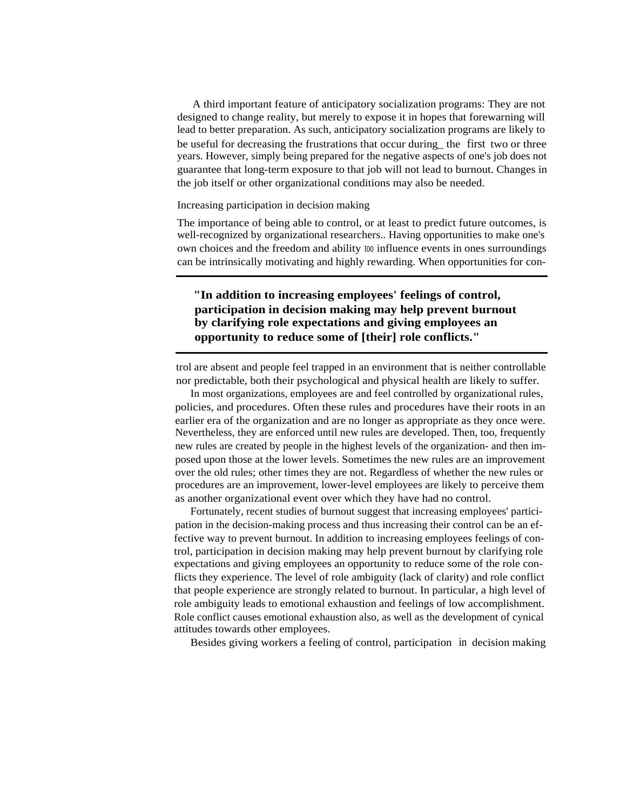A third important feature of anticipatory socialization programs: They are not designed to change reality, but merely to expose it in hopes that forewarning will lead to better preparation. As such, anticipatory socialization programs are likely to be useful for decreasing the frustrations that occur during the first two or three years. However, simply being prepared for the negative aspects of one's job does not guarantee that long-term exposure to that job will not lead to burnout. Changes in the job itself or other organizational conditions may also be needed.

# Increasing participation in decision making

The importance of being able to control, or at least to predict future outcomes, is well-recognized by organizational researchers.. Having opportunities to make one's own choices and the freedom and ability too influence events in ones surroundings can be intrinsically motivating and highly rewarding. When opportunities for con-

# **"In addition to increasing employees' feelings of control, participation in decision making may help prevent burnout by clarifying role expectations and giving employees an opportunity to reduce some of [their] role conflicts."**

trol are absent and people feel trapped in an environment that is neither controllable nor predictable, both their psychological and physical health are likely to suffer.

In most organizations, employees are and feel controlled by organizational rules, policies, and procedures. Often these rules and procedures have their roots in an earlier era of the organization and are no longer as appropriate as they once were. Nevertheless, they are enforced until new rules are developed. Then, too, frequently new rules are created by people in the highest levels of the organization- and then imposed upon those at the lower levels. Sometimes the new rules are an improvement over the old rules; other times they are not. Regardless of whether the new rules or procedures are an improvement, lower-level employees are likely to perceive them as another organizational event over which they have had no control.

Fortunately, recent studies of burnout suggest that increasing employees' participation in the decision-making process and thus increasing their control can be an effective way to prevent burnout. In addition to increasing employees feelings of control, participation in decision making may help prevent burnout by clarifying role expectations and giving employees an opportunity to reduce some of the role conflicts they experience. The level of role ambiguity (lack of clarity) and role conflict that people experience are strongly related to burnout. In particular, a high level of role ambiguity leads to emotional exhaustion and feelings of low accomplishment. Role conflict causes emotional exhaustion also, as well as the development of cynical attitudes towards other employees.

Besides giving workers a feeling of control, participation in decision making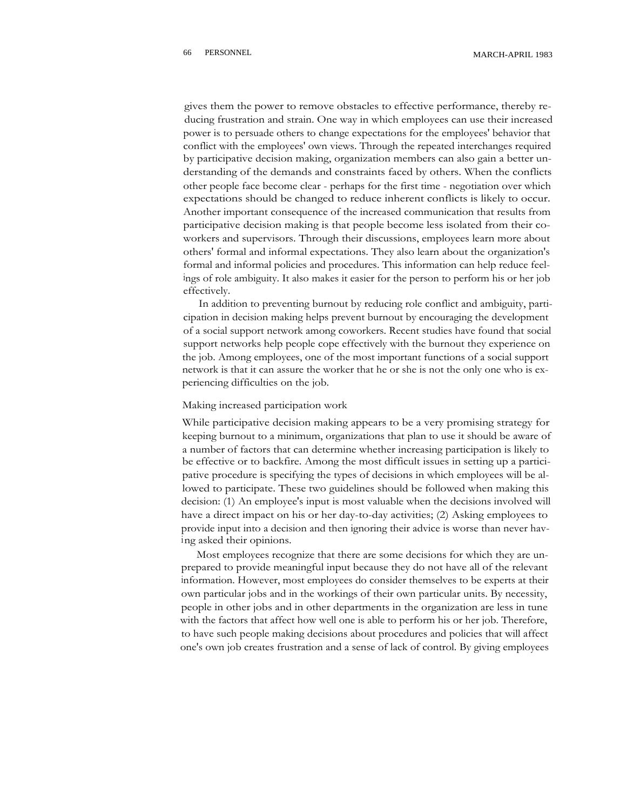gives them the power to remove obstacles to effective performance, thereby reducing frustration and strain. One way in which employees can use their increased power is to persuade others to change expectations for the employees' behavior that conflict with the employees' own views. Through the repeated interchanges required by participative decision making, organization members can also gain a better understanding of the demands and constraints faced by others. When the conflicts other people face become clear - perhaps for the first time - negotiation over which expectations should be changed to reduce inherent conflicts is likely to occur. Another important consequence of the increased communication that results from participative decision making is that people become less isolated from their coworkers and supervisors. Through their discussions, employees learn more about others' formal and informal expectations. They also learn about the organization's formal and informal policies and procedures. This information can help reduce feelings of role ambiguity. It also makes it easier for the person to perform his or her job effectively.

In addition to preventing burnout by reducing role conflict and ambiguity, participation in decision making helps prevent burnout by encouraging the development of a social support network among coworkers. Recent studies have found that social support networks help people cope effectively with the burnout they experience on the job. Among employees, one of the most important functions of a social support network is that it can assure the worker that he or she is not the only one who is experiencing difficulties on the job.

#### Making increased participation work

While participative decision making appears to be a very promising strategy for keeping burnout to a minimum, organizations that plan to use it should be aware of a number of factors that can determine whether increasing participation is likely to be effective or to backfire. Among the most difficult issues in setting up a participative procedure is specifying the types of decisions in which employees will be allowed to participate. These two guidelines should be followed when making this decision: (1) An employee's input is most valuable when the decisions involved will have a direct impact on his or her day-to-day activities; (2) Asking employees to provide input into a decision and then ignoring their advice is worse than never having asked their opinions.

Most employees recognize that there are some decisions for which they are unprepared to provide meaningful input because they do not have all of the relevant information. However, most employees do consider themselves to be experts at their own particular jobs and in the workings of their own particular units. By necessity, people in other jobs and in other departments in the organization are less in tune with the factors that affect how well one is able to perform his or her job. Therefore, to have such people making decisions about procedures and policies that will affect one's own job creates frustration and a sense of lack of control. By giving employees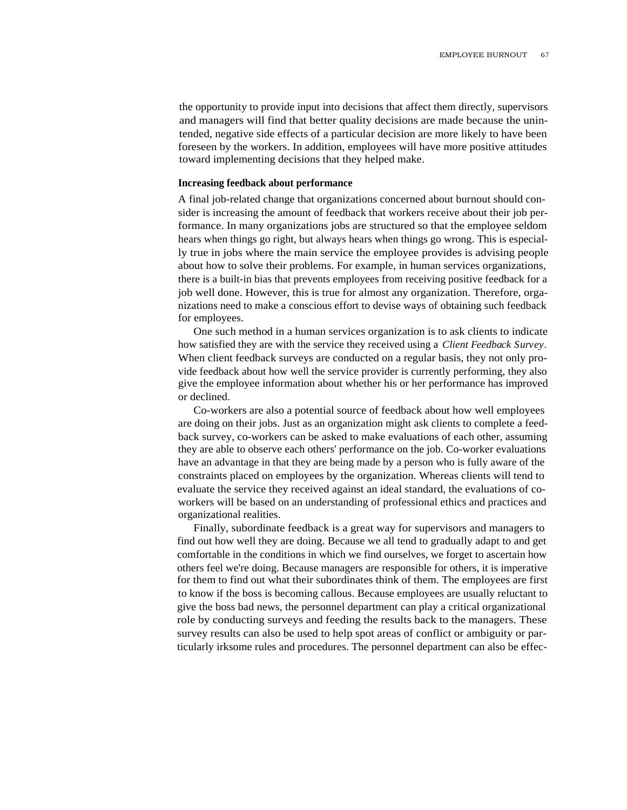the opportunity to provide input into decisions that affect them directly, supervisors and managers will find that better quality decisions are made because the unintended, negative side effects of a particular decision are more likely to have been foreseen by the workers. In addition, employees will have more positive attitudes toward implementing decisions that they helped make.

# **Increasing feedback about performance**

A final job-related change that organizations concerned about burnout should consider is increasing the amount of feedback that workers receive about their job performance. In many organizations jobs are structured so that the employee seldom hears when things go right, but always hears when things go wrong. This is especially true in jobs where the main service the employee provides is advising people about how to solve their problems. For example, in human services organizations, there is a built-in bias that prevents employees from receiving positive feedback for a job well done. However, this is true for almost any organization. Therefore, organizations need to make a conscious effort to devise ways of obtaining such feedback for employees.

One such method in a human services organization is to ask clients to indicate how satisfied they are with the service they received using a *Client Feedback Survey.* When client feedback surveys are conducted on a regular basis, they not only provide feedback about how well the service provider is currently performing, they also give the employee information about whether his or her performance has improved or declined.

Co-workers are also a potential source of feedback about how well employees are doing on their jobs. Just as an organization might ask clients to complete a feedback survey, co-workers can be asked to make evaluations of each other, assuming they are able to observe each others' performance on the job. Co-worker evaluations have an advantage in that they are being made by a person who is fully aware of the constraints placed on employees by the organization. Whereas clients will tend to evaluate the service they received against an ideal standard, the evaluations of coworkers will be based on an understanding of professional ethics and practices and organizational realities.

Finally, subordinate feedback is a great way for supervisors and managers to find out how well they are doing. Because we all tend to gradually adapt to and get comfortable in the conditions in which we find ourselves, we forget to ascertain how others feel we're doing. Because managers are responsible for others, it is imperative for them to find out what their subordinates think of them. The employees are first to know if the boss is becoming callous. Because employees are usually reluctant to give the boss bad news, the personnel department can play a critical organizational role by conducting surveys and feeding the results back to the managers. These survey results can also be used to help spot areas of conflict or ambiguity or particularly irksome rules and procedures. The personnel department can also be effec